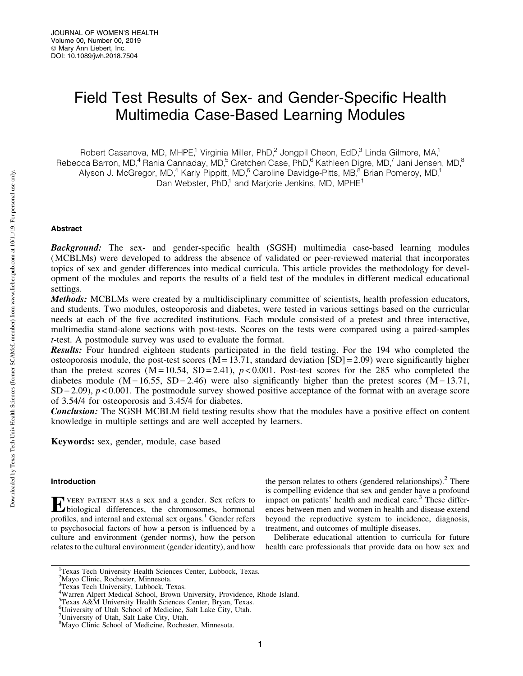# Field Test Results of Sex- and Gender-Specific Health Multimedia Case-Based Learning Modules

Robert Casanova, MD, MHPE,<sup>1</sup> Virginia Miller, PhD,<sup>2</sup> Jongpil Cheon, EdD,<sup>3</sup> Linda Gilmore, MA,<sup>1</sup> Rebecca Barron, MD,<sup>4</sup> Rania Cannaday, MD,<sup>5</sup> Gretchen Case, PhD,<sup>6</sup> Kathleen Digre, MD,<sup>7</sup> Jani Jensen, MD,<sup>8</sup> Alyson J. McGregor, MD,<sup>4</sup> Karly Pippitt, MD,<sup>6</sup> Caroline Davidge-Pitts, MB,<sup>8</sup> Brian Pomeroy, MD,<sup>1</sup> Dan Webster,  $PhD<sup>1</sup>$  and Marjorie Jenkins, MD, MPHE<sup>1</sup>

## Abstract

**Background:** The sex- and gender-specific health (SGSH) multimedia case-based learning modules (MCBLMs) were developed to address the absence of validated or peer-reviewed material that incorporates topics of sex and gender differences into medical curricula. This article provides the methodology for development of the modules and reports the results of a field test of the modules in different medical educational settings.

Methods: MCBLMs were created by a multidisciplinary committee of scientists, health profession educators, and students. Two modules, osteoporosis and diabetes, were tested in various settings based on the curricular needs at each of the five accredited institutions. Each module consisted of a pretest and three interactive, multimedia stand-alone sections with post-tests. Scores on the tests were compared using a paired-samples *t*-test. A postmodule survey was used to evaluate the format.

Results: Four hundred eighteen students participated in the field testing. For the 194 who completed the osteoporosis module, the post-test scores ( $\overline{M} = 13.71$ , standard deviation [SD] = 2.09) were significantly higher than the pretest scores  $(M = 10.54, SD = 2.41)$ ,  $p < 0.001$ . Post-test scores for the 285 who completed the diabetes module (M = 16.55, SD = 2.46) were also significantly higher than the pretest scores (M = 13.71,  $SD = 2.09$ ,  $p < 0.001$ . The postmodule survey showed positive acceptance of the format with an average score of 3.54/4 for osteoporosis and 3.45/4 for diabetes.

**Conclusion:** The SGSH MCBLM field testing results show that the modules have a positive effect on content knowledge in multiple settings and are well accepted by learners.

Keywords: sex, gender, module, case based

## Introduction

EVERY PATIENT HAS a sex and a gender. Sex refers to biological differences, the chromosomes, hormonal profiles, and internal and external sex organs.<sup>1</sup> Gender refers to psychosocial factors of how a person is influenced by a culture and environment (gender norms), how the person relates to the cultural environment (gender identity), and how the person relates to others (gendered relationships). $<sup>2</sup>$  There</sup> is compelling evidence that sex and gender have a profound impact on patients' health and medical care.<sup>3</sup> These differences between men and women in health and disease extend beyond the reproductive system to incidence, diagnosis, treatment, and outcomes of multiple diseases.

Deliberate educational attention to curricula for future health care professionals that provide data on how sex and

<sup>&</sup>lt;sup>1</sup>Texas Tech University Health Sciences Center, Lubbock, Texas.

<sup>&</sup>lt;sup>2</sup>Mayo Clinic, Rochester, Minnesota.

<sup>3</sup> Texas Tech University, Lubbock, Texas.

<sup>4</sup> Warren Alpert Medical School, Brown University, Providence, Rhode Island.

<sup>5</sup> Texas A&M University Health Sciences Center, Bryan, Texas.

<sup>6</sup> University of Utah School of Medicine, Salt Lake City, Utah.

<sup>7</sup> University of Utah, Salt Lake City, Utah.

<sup>&</sup>lt;sup>8</sup>Mayo Clinic School of Medicine, Rochester, Minnesota.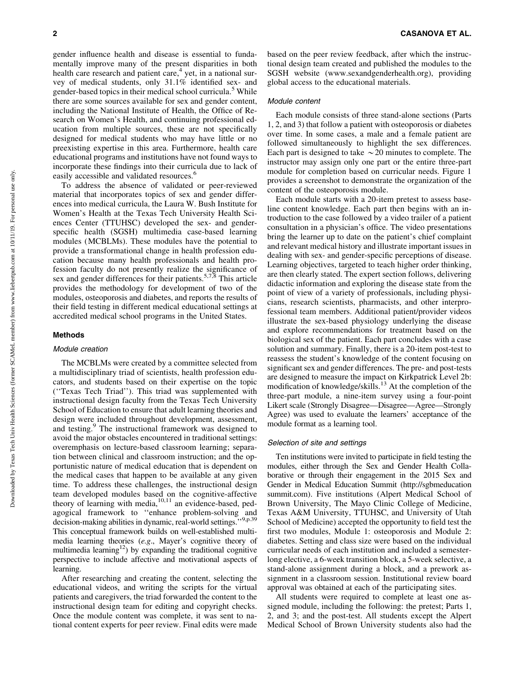gender influence health and disease is essential to fundamentally improve many of the present disparities in both health care research and patient care, $4$  yet, in a national survey of medical students, only 31.1% identified sex- and gender-based topics in their medical school curricula.<sup>5</sup> While there are some sources available for sex and gender content, including the National Institute of Health, the Office of Research on Women's Health, and continuing professional education from multiple sources, these are not specifically designed for medical students who may have little or no preexisting expertise in this area. Furthermore, health care educational programs and institutions have not found ways to incorporate these findings into their curricula due to lack of easily accessible and validated resources.<sup>6</sup>

To address the absence of validated or peer-reviewed material that incorporates topics of sex and gender differences into medical curricula, the Laura W. Bush Institute for Women's Health at the Texas Tech University Health Sciences Center (TTUHSC) developed the sex- and genderspecific health (SGSH) multimedia case-based learning modules (MCBLMs). These modules have the potential to provide a transformational change in health profession education because many health professionals and health profession faculty do not presently realize the significance of sex and gender differences for their patients.<sup>5,7,8</sup> This article provides the methodology for development of two of the modules, osteoporosis and diabetes, and reports the results of their field testing in different medical educational settings at accredited medical school programs in the United States.

#### Methods

#### Module creation

The MCBLMs were created by a committee selected from a multidisciplinary triad of scientists, health profession educators, and students based on their expertise on the topic (''Texas Tech Triad''). This triad was supplemented with instructional design faculty from the Texas Tech University School of Education to ensure that adult learning theories and design were included throughout development, assessment, and testing.<sup>9</sup> The instructional framework was designed to avoid the major obstacles encountered in traditional settings: overemphasis on lecture-based classroom learning; separation between clinical and classroom instruction; and the opportunistic nature of medical education that is dependent on the medical cases that happen to be available at any given time. To address these challenges, the instructional design team developed modules based on the cognitive-affective theory of learning with media,<sup>10,11</sup> an evidence-based, pedagogical framework to ''enhance problem-solving and decision-making abilities in dynamic, real-world settings.", 9,p.39 This conceptual framework builds on well-established multimedia learning theories (*e.g*., Mayer's cognitive theory of multimedia learning<sup>12</sup>) by expanding the traditional cognitive perspective to include affective and motivational aspects of learning.

After researching and creating the content, selecting the educational videos, and writing the scripts for the virtual patients and caregivers, the triad forwarded the content to the instructional design team for editing and copyright checks. Once the module content was complete, it was sent to national content experts for peer review. Final edits were made based on the peer review feedback, after which the instructional design team created and published the modules to the SGSH website [\(www.sexandgenderhealth.org\)](http://www.sexandgenderhealth.org), providing global access to the educational materials.

#### Module content

Each module consists of three stand-alone sections (Parts 1, 2, and 3) that follow a patient with osteoporosis or diabetes over time. In some cases, a male and a female patient are followed simultaneously to highlight the sex differences. Each part is designed to take  $\sim$  20 minutes to complete. The instructor may assign only one part or the entire three-part module for completion based on curricular needs. Figure 1 provides a screenshot to demonstrate the organization of the content of the osteoporosis module.

Each module starts with a 20-item pretest to assess baseline content knowledge. Each part then begins with an introduction to the case followed by a video trailer of a patient consultation in a physician's office. The video presentations bring the learner up to date on the patient's chief complaint and relevant medical history and illustrate important issues in dealing with sex- and gender-specific perceptions of disease. Learning objectives, targeted to teach higher order thinking, are then clearly stated. The expert section follows, delivering didactic information and exploring the disease state from the point of view of a variety of professionals, including physicians, research scientists, pharmacists, and other interprofessional team members. Additional patient/provider videos illustrate the sex-based physiology underlying the disease and explore recommendations for treatment based on the biological sex of the patient. Each part concludes with a case solution and summary. Finally, there is a 20-item post-test to reassess the student's knowledge of the content focusing on significant sex and gender differences. The pre- and post-tests are designed to measure the impact on Kirkpatrick Level 2b: modification of knowledge/skills.<sup>13</sup> At the completion of the three-part module, a nine-item survey using a four-point Likert scale (Strongly Disagree—Disagree—Agree—Strongly Agree) was used to evaluate the learners' acceptance of the module format as a learning tool.

#### Selection of site and settings

Ten institutions were invited to participate in field testing the modules, either through the Sex and Gender Health Collaborative or through their engagement in the 2015 Sex and Gender in Medical Education Summit [\(http://sgbmeducation](http://sgbmeducationsummit.com) [summit.com](http://sgbmeducationsummit.com)). Five institutions (Alpert Medical School of Brown University, The Mayo Clinic College of Medicine, Texas A&M University, TTUHSC, and University of Utah School of Medicine) accepted the opportunity to field test the first two modules, Module 1: osteoporosis and Module 2: diabetes. Setting and class size were based on the individual curricular needs of each institution and included a semesterlong elective, a 6-week transition block, a 5-week selective, a stand-alone assignment during a block, and a prework assignment in a classroom session. Institutional review board approval was obtained at each of the participating sites.

All students were required to complete at least one assigned module, including the following: the pretest; Parts 1, 2, and 3; and the post-test. All students except the Alpert Medical School of Brown University students also had the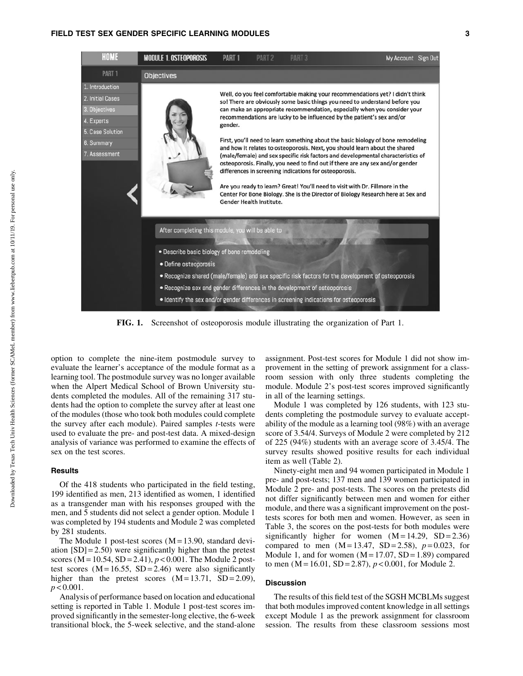

FIG. 1. Screenshot of osteoporosis module illustrating the organization of Part 1.

option to complete the nine-item postmodule survey to evaluate the learner's acceptance of the module format as a learning tool. The postmodule survey was no longer available when the Alpert Medical School of Brown University students completed the modules. All of the remaining 317 students had the option to complete the survey after at least one of the modules (those who took both modules could complete the survey after each module). Paired samples *t*-tests were used to evaluate the pre- and post-test data. A mixed-design analysis of variance was performed to examine the effects of sex on the test scores.

### **Results**

Of the 418 students who participated in the field testing, 199 identified as men, 213 identified as women, 1 identified as a transgender man with his responses grouped with the men, and 5 students did not select a gender option. Module 1 was completed by 194 students and Module 2 was completed by 281 students.

The Module 1 post-test scores  $(M = 13.90,$  standard deviation  $[SD] = 2.50$ ) were significantly higher than the pretest scores ( $M = 10.54$ ,  $SD = 2.41$ ),  $p < 0.001$ . The Module 2 posttest scores  $(M = 16.55, SD = 2.46)$  were also significantly higher than the pretest scores  $(M = 13.71, SD = 2.09)$ ,  $p < 0.001$ .

Analysis of performance based on location and educational setting is reported in Table 1. Module 1 post-test scores improved significantly in the semester-long elective, the 6-week transitional block, the 5-week selective, and the stand-alone assignment. Post-test scores for Module 1 did not show improvement in the setting of prework assignment for a classroom session with only three students completing the module. Module 2's post-test scores improved significantly in all of the learning settings.

Module 1 was completed by 126 students, with 123 students completing the postmodule survey to evaluate acceptability of the module as a learning tool (98%) with an average score of 3.54/4. Surveys of Module 2 were completed by 212 of 225 (94%) students with an average score of 3.45/4. The survey results showed positive results for each individual item as well (Table 2).

Ninety-eight men and 94 women participated in Module 1 pre- and post-tests; 137 men and 139 women participated in Module 2 pre- and post-tests. The scores on the pretests did not differ significantly between men and women for either module, and there was a significant improvement on the posttests scores for both men and women. However, as seen in Table 3, the scores on the post-tests for both modules were significantly higher for women  $(M = 14.29, SD = 2.36)$ compared to men  $(M = 13.47, SD = 2.58)$ ,  $p = 0.023$ , for Module 1, and for women  $(M = 17.07, SD = 1.89)$  compared to men  $(M = 16.01, SD = 2.87)$ ,  $p < 0.001$ , for Module 2.

#### Discussion

The results of this field test of the SGSH MCBLMs suggest that both modules improved content knowledge in all settings except Module 1 as the prework assignment for classroom session. The results from these classroom sessions most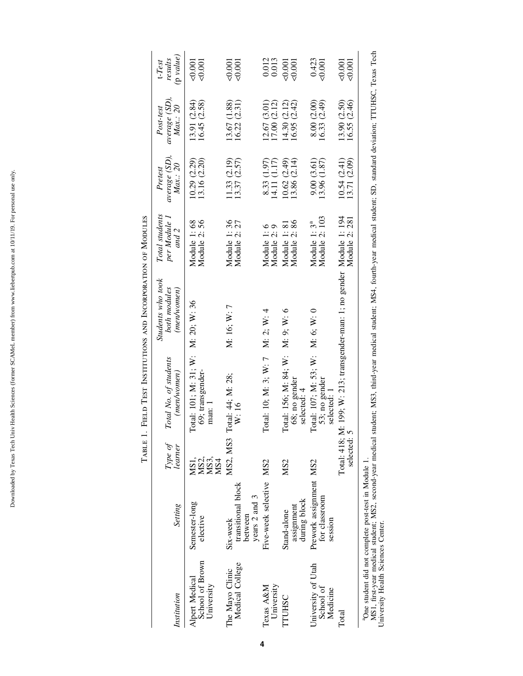|                                                 |                                                            | TABLE 1.                    |                                                       | FIELD TEST INSTITUTIONS AND INCORPORATION OF MODULES                    |                                           |                                     |                                     |                                             |
|-------------------------------------------------|------------------------------------------------------------|-----------------------------|-------------------------------------------------------|-------------------------------------------------------------------------|-------------------------------------------|-------------------------------------|-------------------------------------|---------------------------------------------|
| Institution                                     | Setting                                                    | Type of<br>learner          | Total No. of students<br>(men/women)                  | Students who took<br>both modules<br>(mem(vomen)                        | Total students<br>per Module 1<br>and 2   | average (SD),<br>Max: 20<br>Pretest | average(SD)<br>Max: 20<br>Post-test | $(p \text{ value})$<br>results<br>$t$ -Test |
| School of Brown<br>Alpert Medical<br>University | Semester-long<br>elective                                  | MS2,<br>MS3,<br>MS4<br>MS1, | Total: 101; M: 31; W:<br>69; transgender-<br>man:     | M: 20; W: 36                                                            | Module 2: 56<br>Module 1:68               | 13.16 (2.20)<br>10.29 (2.29)        | 16.45 (2.58)<br>13.91 (2.84)        | ⊂0.00<br><0.001                             |
| Medical College<br>The Mayo Clinic              | transitional block<br>years 2 and 3<br>between<br>Six-week | MS2, MS3                    | Total: 44; M: 28;<br>W:16                             | M: 16; W: 7                                                             | Module 1:36<br>Module 2: 27               | 13.37 (2.57)<br>11.33 (2.19)        | 13.67 (1.88)<br>16.22 (2.31)        | ⊂0.001<br>0.001                             |
| University<br>Texas A&M                         | Five-week selective MS2                                    |                             | Total: 10; M: 3; W: 7 M: 2; W: 4                      |                                                                         | Module 1:6<br>Module 2:                   | 8.33 (1.97)<br>(4.11)(1.17)         | 12.67 (3.01)<br>17.00(2.12)         | 0.012<br>0.013                              |
| TTUHSC                                          | during block<br>assignment<br>Stand-alone                  | MS <sub>2</sub>             | Total: 156; M: 84; W:<br>68; no gender<br>selected: 4 | M: 9; W: 6                                                              | Module 2:86<br>Module 1: 81               | 13.86(2.14)<br>10.62(2.49)          | 16.95 (2.42)<br>14.30(2.12)         | 0.001<br>0.001                              |
| University of Utah<br>School of<br>Medicine     | Prework assignment MS2<br>for classroom<br>session         |                             | Total: 107; M: 53; W:<br>53; no gender<br>selected: 1 | M: 6: W: 0                                                              | Module 2: 103<br>Module 1: 3 <sup>ª</sup> | 9.00(3.61)<br>13.96 (1.87)          | 8.00 (2.00)<br>16.33(2.49)          | 0.423<br><0.001                             |
| Total                                           |                                                            | selected: 5                 |                                                       | Total: 418; M: 199; W: 213; transgender-man: 1; no gender Module 1: 194 | Module 2: 281                             | 10.54(2.41)<br>13.71 (2.09)         | 13.90 (2.50)<br>16.55 (2.46)        | 50,001<br><0.001                            |

aOne student did not complete post-test in Module 1.

°One student did not complete post-test in Module 1.<br>MS1, first-year medical student; MS2, second-year medical student; MS3, third-year medical, fourth-year medical student; SD, standard deviation; TTUHSC, Texas Tech<br>Unive MS1, first-year medical student; MS2, second-year medical student; MS3, third-year medical student; MS4, fourth-year medical student; SD, standard deviation; TTUHSC, Texas Tech University Health Sciences Center.

Downloaded by Texas Tech Univ Health Sciences (former SCAMeL member) from www.liebertpub.com at 10/11/19. For personal use only. Downloaded by Texas Tech Univ Health Sciences (former SCAMeL member) from www.liebertpub.com at 10/11/19. For personal use only.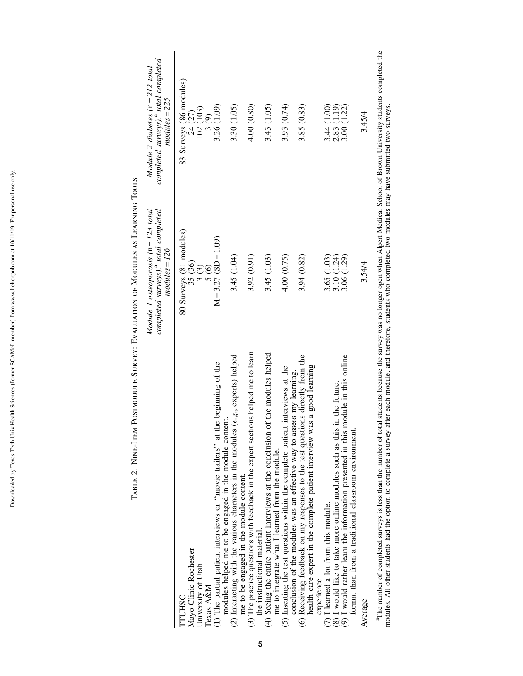|                                                                                                                                                                                                    | completed surveys), <sup>a</sup> total completed<br>Module 1 osteoporosis $(n=123 \text{ total})$<br>$modules = 126$ | completed surveys), <sup>a</sup> total completed<br>Module 2 diabetes $(n=212 \text{ total})$<br>$modules = 225$ |
|----------------------------------------------------------------------------------------------------------------------------------------------------------------------------------------------------|----------------------------------------------------------------------------------------------------------------------|------------------------------------------------------------------------------------------------------------------|
| Mayo Clinic Rochester<br>University of Utah<br>Texas A&M<br>TTUHSC                                                                                                                                 | 80 Surveys (81 modules)<br>35 <sub>(36)</sub><br>3(3)<br>$\frac{5}{6}$                                               | 83 Surveys (86 modules)<br>102 (103)<br>24(27)<br>3(9)                                                           |
| the beginning of the<br>modules helped me to be engaged in the module content.<br>(1) The partial patient interviews or "movie trailers" at                                                        | $M = 3.27$ (SD = 1.09)                                                                                               | 3.26 (1.09)                                                                                                      |
| (2) Interacting with the various characters in the modules $(e, g,$ , experts) helped<br>me to be engaged in the module content.                                                                   | 3.45 (1.04)                                                                                                          | 3.30 (1.05)                                                                                                      |
| $(3)$ The practice questions with feedback in the expert sections helped me to learn<br>the instructional material.                                                                                | 3.92(0.91)                                                                                                           | 4.00 (0.80)                                                                                                      |
| of the modules helped<br>(4) Seeing the entire patient interviews at the conclusion<br>me to integrate what I learned from the module.                                                             | 3.45 (1.03)                                                                                                          | 3.43 (1.05)                                                                                                      |
| (5) Inserting the test questions within the complete patient interviews at the<br>conclusion of the modules was an effective way to assess my learning.                                            | 4.00 (0.75)                                                                                                          | 3.93 (0.74)                                                                                                      |
| (6) Receiving feedback on my responses to the test questions directly from the<br>health care expert in the complete patient interview was a good learning<br>experience.                          | 3.94 (0.82)                                                                                                          | 3.85 (0.83)                                                                                                      |
| (8) I would like to take more online modules such as this in the future.<br>(7) I learned a lot from this module.                                                                                  | 3.65 (1.03)<br>3.10 (1.24)<br>3.06 (1.29)                                                                            | $\begin{array}{c} 3.44 \ (1.00) \\ 2.83 \ (1.19) \\ 3.00 \ (1.22) \end{array}$                                   |
| (9) I would rather learn the information presented in this module in this online<br>format than from a traditional classroom environment                                                           |                                                                                                                      |                                                                                                                  |
| Average                                                                                                                                                                                            | 3.54/4                                                                                                               | 3.45/4                                                                                                           |
| <sup>3</sup> The number of completed surveys is less than the number of total students because the survey was no longer open when Alpert Medical School of Brown University students completed the |                                                                                                                      |                                                                                                                  |

TABLE 2. NINE-ITEM POSTMODULE SURVEY: EVALUATION OF MODULES AS LEARNING TOOLS Table 2. Nine-Item Postmodule Survey: Evaluation of Modules as Learning Tools

 $\frac{1}{2}$ aThe number of completed surveys is less than the number of total students because the survey was no longer open when Alpert Medical School of Brown University students completed the modules. All other students had the option to complete a survey after each module, and therefore, students who completed two modules may have submitted two surveys. modules. All other students had the option to complete a survey after each module, and therefore, students who completed two modules may have submitted two surveys.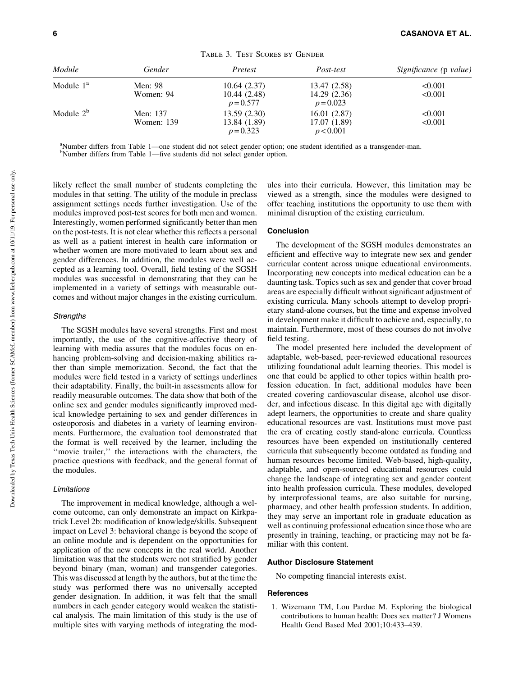| Module                | Gender                 | Pretest                                    | Post-test                                  | Significance (p value) |
|-----------------------|------------------------|--------------------------------------------|--------------------------------------------|------------------------|
| Module 1 <sup>a</sup> | Men: 98<br>Women: 94   | 10.64(2.37)<br>10.44(2.48)<br>$p = 0.577$  | 13.47 (2.58)<br>14.29(2.36)<br>$p = 0.023$ | < 0.001<br>< 0.001     |
| Module $2^b$          | Men: 137<br>Women: 139 | 13.59(2.30)<br>13.84 (1.89)<br>$p = 0.323$ | 16.01(2.87)<br>17.07 (1.89)<br>p < 0.001   | < 0.001<br>< 0.001     |

Table 3. Test Scores by Gender

<sup>a</sup>Number differs from Table 1—one student did not select gender option; one student identified as a transgender-man.

b Number differs from Table 1—five students did not select gender option.

likely reflect the small number of students completing the modules in that setting. The utility of the module in preclass assignment settings needs further investigation. Use of the modules improved post-test scores for both men and women. Interestingly, women performed significantly better than men on the post-tests. It is not clear whether this reflects a personal as well as a patient interest in health care information or whether women are more motivated to learn about sex and gender differences. In addition, the modules were well accepted as a learning tool. Overall, field testing of the SGSH modules was successful in demonstrating that they can be implemented in a variety of settings with measurable outcomes and without major changes in the existing curriculum.

## **Strengths**

The SGSH modules have several strengths. First and most importantly, the use of the cognitive-affective theory of learning with media assures that the modules focus on enhancing problem-solving and decision-making abilities rather than simple memorization. Second, the fact that the modules were field tested in a variety of settings underlines their adaptability. Finally, the built-in assessments allow for readily measurable outcomes. The data show that both of the online sex and gender modules significantly improved medical knowledge pertaining to sex and gender differences in osteoporosis and diabetes in a variety of learning environments. Furthermore, the evaluation tool demonstrated that the format is well received by the learner, including the ''movie trailer,'' the interactions with the characters, the practice questions with feedback, and the general format of the modules.

#### Limitations

The improvement in medical knowledge, although a welcome outcome, can only demonstrate an impact on Kirkpatrick Level 2b: modification of knowledge/skills. Subsequent impact on Level 3: behavioral change is beyond the scope of an online module and is dependent on the opportunities for application of the new concepts in the real world. Another limitation was that the students were not stratified by gender beyond binary (man, woman) and transgender categories. This was discussed at length by the authors, but at the time the study was performed there was no universally accepted gender designation. In addition, it was felt that the small numbers in each gender category would weaken the statistical analysis. The main limitation of this study is the use of multiple sites with varying methods of integrating the modules into their curricula. However, this limitation may be viewed as a strength, since the modules were designed to offer teaching institutions the opportunity to use them with minimal disruption of the existing curriculum.

## Conclusion

The development of the SGSH modules demonstrates an efficient and effective way to integrate new sex and gender curricular content across unique educational environments. Incorporating new concepts into medical education can be a daunting task. Topics such as sex and gender that cover broad areas are especially difficult without significant adjustment of existing curricula. Many schools attempt to develop proprietary stand-alone courses, but the time and expense involved in development make it difficult to achieve and, especially, to maintain. Furthermore, most of these courses do not involve field testing.

The model presented here included the development of adaptable, web-based, peer-reviewed educational resources utilizing foundational adult learning theories. This model is one that could be applied to other topics within health profession education. In fact, additional modules have been created covering cardiovascular disease, alcohol use disorder, and infectious disease. In this digital age with digitally adept learners, the opportunities to create and share quality educational resources are vast. Institutions must move past the era of creating costly stand-alone curricula. Countless resources have been expended on institutionally centered curricula that subsequently become outdated as funding and human resources become limited. Web-based, high-quality, adaptable, and open-sourced educational resources could change the landscape of integrating sex and gender content into health profession curricula. These modules, developed by interprofessional teams, are also suitable for nursing, pharmacy, and other health profession students. In addition, they may serve an important role in graduate education as well as continuing professional education since those who are presently in training, teaching, or practicing may not be familiar with this content.

## Author Disclosure Statement

No competing financial interests exist.

#### **References**

1. Wizemann TM, Lou Pardue M. Exploring the biological contributions to human health: Does sex matter? J Womens Health Gend Based Med 2001;10:433–439.